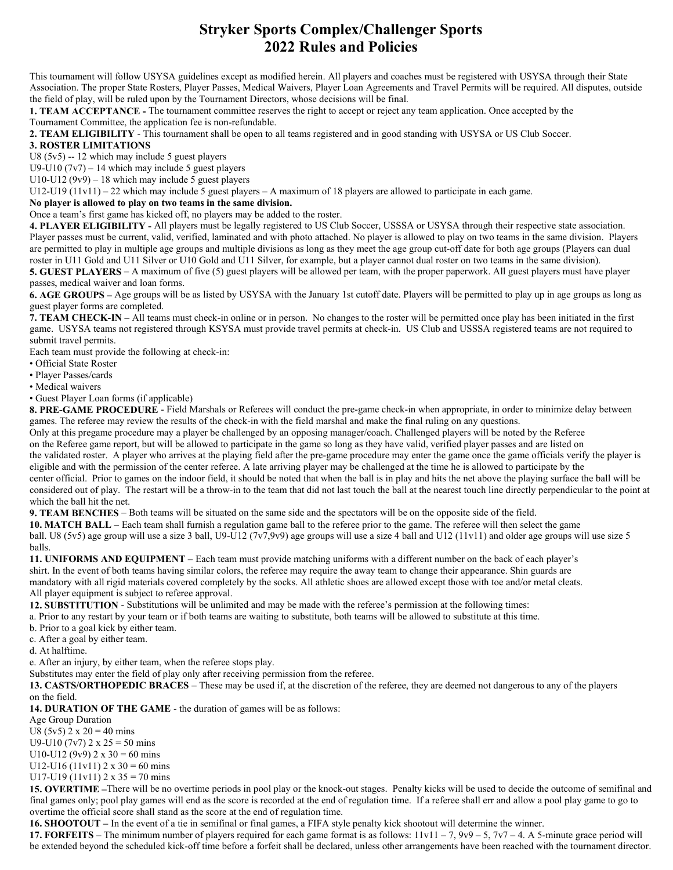## Stryker Sports Complex/Challenger Sports 2022 Rules and Policies

This tournament will follow USYSA guidelines except as modified herein. All players and coaches must be registered with USYSA through their State Association. The proper State Rosters, Player Passes, Medical Waivers, Player Loan Agreements and Travel Permits will be required. All disputes, outside the field of play, will be ruled upon by the Tournament Directors, whose decisions will be final.

1. TEAM ACCEPTANCE - The tournament committee reserves the right to accept or reject any team application. Once accepted by the Tournament Committee, the application fee is non-refundable.

2. TEAM ELIGIBILITY - This tournament shall be open to all teams registered and in good standing with USYSA or US Club Soccer.

## 3. ROSTER LIMITATIONS

U8 (5v5) -- 12 which may include 5 guest players

U9-U10  $(7v7)$  – 14 which may include 5 guest players

U10-U12 (9v9) – 18 which may include 5 guest players

U12-U19 (11v11) – 22 which may include 5 guest players – A maximum of 18 players are allowed to participate in each game.

No player is allowed to play on two teams in the same division.

Once a team's first game has kicked off, no players may be added to the roster.

4. PLAYER ELIGIBILITY - All players must be legally registered to US Club Soccer, USSSA or USYSA through their respective state association. Player passes must be current, valid, verified, laminated and with photo attached. No player is allowed to play on two teams in the same division. Players are permitted to play in multiple age groups and multiple divisions as long as they meet the age group cut-off date for both age groups (Players can dual roster in U11 Gold and U11 Silver or U10 Gold and U11 Silver, for example, but a player cannot dual roster on two teams in the same division).

5. GUEST PLAYERS – A maximum of five (5) guest players will be allowed per team, with the proper paperwork. All guest players must have player passes, medical waiver and loan forms.

6. AGE GROUPS – Age groups will be as listed by USYSA with the January 1st cutoff date. Players will be permitted to play up in age groups as long as guest player forms are completed.

7. TEAM CHECK-IN – All teams must check-in online or in person. No changes to the roster will be permitted once play has been initiated in the first game. USYSA teams not registered through KSYSA must provide travel permits at check-in. US Club and USSSA registered teams are not required to submit travel permits.

Each team must provide the following at check-in:

• Official State Roster

• Player Passes/cards

• Medical waivers

• Guest Player Loan forms (if applicable)

8. PRE-GAME PROCEDURE - Field Marshals or Referees will conduct the pre-game check-in when appropriate, in order to minimize delay between games. The referee may review the results of the check-in with the field marshal and make the final ruling on any questions.

Only at this pregame procedure may a player be challenged by an opposing manager/coach. Challenged players will be noted by the Referee on the Referee game report, but will be allowed to participate in the game so long as they have valid, verified player passes and are listed on the validated roster. A player who arrives at the playing field after the pre-game procedure may enter the game once the game officials verify the player is eligible and with the permission of the center referee. A late arriving player may be challenged at the time he is allowed to participate by the center official. Prior to games on the indoor field, it should be noted that when the ball is in play and hits the net above the playing surface the ball will be considered out of play. The restart will be a throw-in to the team that did not last touch the ball at the nearest touch line directly perpendicular to the point at which the ball hit the net.

9. TEAM BENCHES – Both teams will be situated on the same side and the spectators will be on the opposite side of the field.

10. MATCH BALL – Each team shall furnish a regulation game ball to the referee prior to the game. The referee will then select the game ball. U8 (5v5) age group will use a size 3 ball, U9-U12 (7v7,9v9) age groups will use a size 4 ball and U12 (11v11) and older age groups will use size 5 balls.

11. UNIFORMS AND EQUIPMENT – Each team must provide matching uniforms with a different number on the back of each player's shirt. In the event of both teams having similar colors, the referee may require the away team to change their appearance. Shin guards are mandatory with all rigid materials covered completely by the socks. All athletic shoes are allowed except those with toe and/or metal cleats. All player equipment is subject to referee approval.

12. SUBSTITUTION - Substitutions will be unlimited and may be made with the referee's permission at the following times:

a. Prior to any restart by your team or if both teams are waiting to substitute, both teams will be allowed to substitute at this time.

b. Prior to a goal kick by either team.

c. After a goal by either team.

d. At halftime.

e. After an injury, by either team, when the referee stops play.

Substitutes may enter the field of play only after receiving permission from the referee.

13. CASTS/ORTHOPEDIC BRACES – These may be used if, at the discretion of the referee, they are deemed not dangerous to any of the players on the field.

14. DURATION OF THE GAME - the duration of games will be as follows:

Age Group Duration

U8 (5v5)  $2 \times 20 = 40$  mins

U9-U10 (7v7)  $2 \times 25 = 50$  mins

U10-U12 (9v9)  $2 \times 30 = 60$  mins U12-U16 (11v11)  $2 \times 30 = 60$  mins

U17-U19 (11v11)  $2 \times 35 = 70$  mins

15. OVERTIME –There will be no overtime periods in pool play or the knock-out stages. Penalty kicks will be used to decide the outcome of semifinal and final games only; pool play games will end as the score is recorded at the end of regulation time. If a referee shall err and allow a pool play game to go to overtime the official score shall stand as the score at the end of regulation time.

16. SHOOTOUT – In the event of a tie in semifinal or final games, a FIFA style penalty kick shootout will determine the winner.

17. FORFEITS – The minimum number of players required for each game format is as follows:  $11v11 - 7$ ,  $9v9 - 5$ ,  $7v7 - 4$ . A 5-minute grace period will be extended beyond the scheduled kick-off time before a forfeit shall be declared, unless other arrangements have been reached with the tournament director.